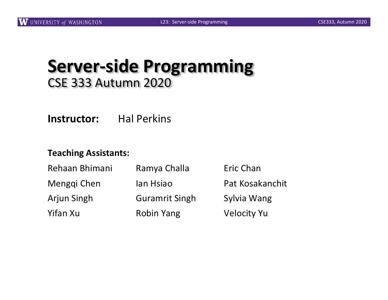#### **Server-side Programming** CSE 333 Autumn 2020

**Instructor:** Hal Perkins

#### **Teaching Assistants:**

| Rehaan Bhimani     | Ramya Challa          | Eric Chan          |
|--------------------|-----------------------|--------------------|
| Menggi Chen        | lan Hsiao             | Pat Kosakanchit    |
| <b>Arjun Singh</b> | <b>Guramrit Singh</b> | Sylvia Wang        |
| Yifan Xu           | <b>Robin Yang</b>     | <b>Velocity Yu</b> |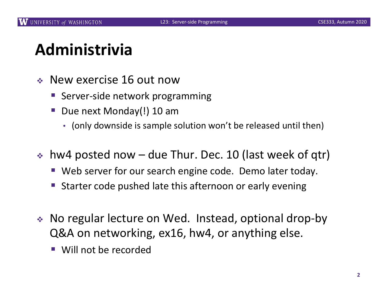#### **Administrivia**

- $\div$  New exercise 16 out now
	- Server-side network programming
	- § Due next Monday(!) 10 am
		- (only downside is sample solution won't be released until then)
- $\cdot$  hw4 posted now due Thur. Dec. 10 (last week of qtr)
	- Web server for our search engine code. Demo later today.
	- Starter code pushed late this afternoon or early evening
- No regular lecture on Wed. Instead, optional drop-by Q&A on networking, ex16, hw4, or anything else.
	- Will not be recorded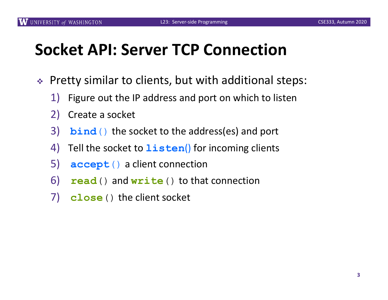### **Socket API: Server TCP Connection**

- $\div$  Pretty similar to clients, but with additional steps:
	- 1) Figure out the IP address and port on which to listen
	- 2) Create a socket
	- 3) **bind**() the socket to the address(es) and port
	- 4) Tell the socket to **listen**() for incoming clients
	- 5) **accept**() a client connection
	- 6) .**read**() and **write**() to that connection
	- 7) **close**() the client socket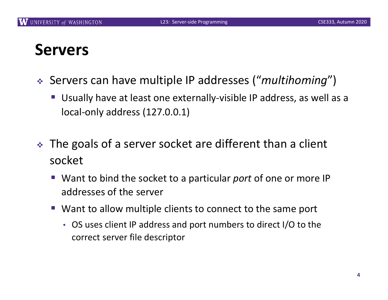#### **Servers**

- <sup>v</sup> Servers can have multiple IP addresses ("*multihoming*")
	- § Usually have at least one externally-visible IP address, as well as a local-only address (127.0.0.1)
- $\cdot$  The goals of a server socket are different than a client socket
	- § Want to bind the socket to a particular *port* of one or more IP addresses of the server
	- Want to allow multiple clients to connect to the same port
		- OS uses client IP address and port numbers to direct I/O to the correct server file descriptor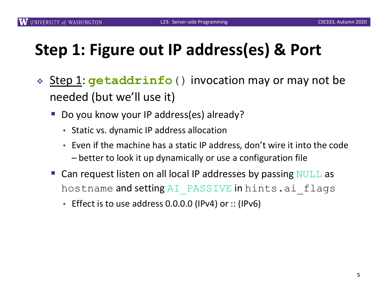# **Step 1: Figure out IP address(es) & Port**

- **Example 1: getaddrinfo** () invocation may or may not be needed (but we'll use it)
	- § Do you know your IP address(es) already?
		- Static vs. dynamic IP address allocation
		- Even if the machine has a static IP address, don't wire it into the code – better to look it up dynamically or use a configuration file
	- Can request listen on all local IP addresses by passing  $\text{NULL}$  as hostname and setting AI PASSIVE in hints.ai flags
		- Effect is to use address 0.0.0.0 (IPv4) or :: (IPv6)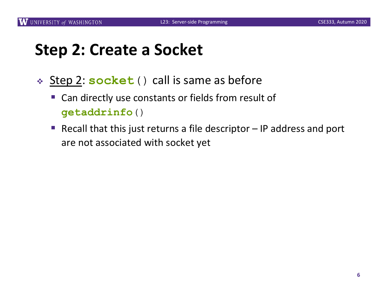## **Step 2: Create a Socket**

- <sup>v</sup> Step 2: **socket**() call is same as before
	- § Can directly use constants or fields from result of **getaddrinfo**()
	- Recall that this just returns a file descriptor IP address and port are not associated with socket yet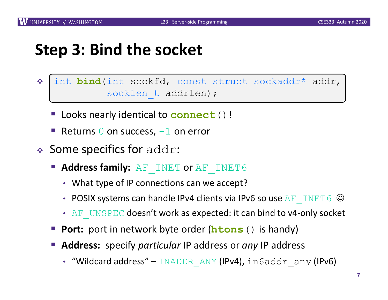#### **Step 3: Bind the socket**

- $v_{\rm s}^2$ int **bind**(int sockfd, const struct sockaddr\* addr, socklen t addrlen);
	- § Looks nearly identical to **connect**()!
	- Returns  $\theta$  on success,  $-1$  on error
- $\triangleleft$  Some specifics for addr:
	- Address family: AF INET or AF INET6
		- What type of IP connections can we accept?
		- POSIX systems can handle IPv4 clients via IPv6 so use  $AF$  INET6  $\odot$
		- AF UNSPEC doesn't work as expected: it can bind to v4-only socket
	- **Port:** port in network byte order (**htons** () is handy)
	- § **Address:** specify *particular* IP address or *any* IP address
		- "Wildcard address" INADDR ANY (IPv4), in6addr any (IPv6)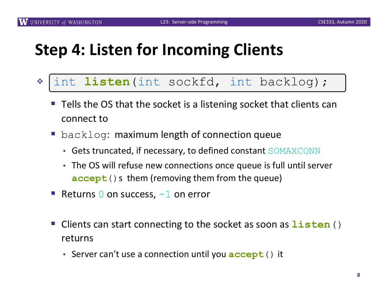#### **Step 4: Listen for Incoming Clients**

- $v_{\phi}$ int **listen**(int sockfd, int backlog);
	- Tells the OS that the socket is a listening socket that clients can connect to
	- backlog: maximum length of connection queue
		- Gets truncated, if necessary, to defined constant SOMAXCONN
		- The OS will refuse new connections once queue is full until server **accept** () s them (removing them from the queue)
	- Returns  $\theta$  on success,  $-1$  on error
	- § Clients can start connecting to the socket as soon as **listen**() returns
		- Server can't use a connection until you **accept**() it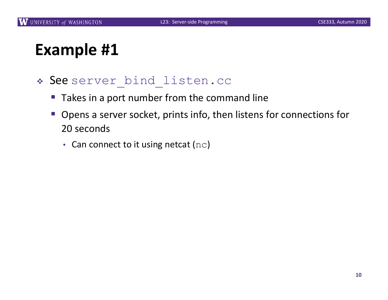#### **Example #1**

#### « See server bind listen.cc

- Takes in a port number from the command line
- § Opens a server socket, prints info, then listens for connections for 20 seconds
	- Can connect to it using netcat  $(nc)$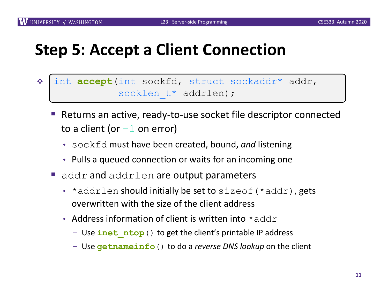#### **Step 5: Accept a Client Connection**

- $v_{\rm s}$ int **accept**(int sockfd, struct sockaddr\* addr, socklen t\* addrlen);
	- Returns an active, ready-to-use socket file descriptor connected to a client (or  $-1$  on error)
		- sockfd must have been created, bound, *and* listening
		- Pulls a queued connection or waits for an incoming one
	- $\blacksquare$  addr and addrlen are output parameters
		- $\star$  addrlen should initially be set to sizeof ( $\star$ addr), gets overwritten with the size of the client address
		- Address information of client is written into  $*$  addr
			- Use **inet\_ntop**() to get the client's printable IP address
			- Use **getnameinfo**() to do a *reverse DNS lookup* on the client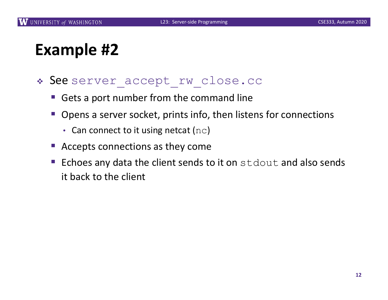#### **Example #2**

- \* See server accept rw close.cc
	- Gets a port number from the command line
	- § Opens a server socket, prints info, then listens for connections
		- Can connect to it using netcat ( $nc$ )
	- Accepts connections as they come
	- Echoes any data the client sends to it on  $stdout$  and also sends it back to the client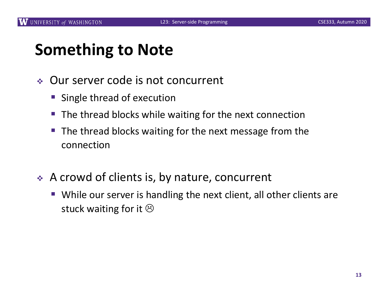#### **Something to Note**

- ◆ Our server code is not concurrent
	- Single thread of execution
	- The thread blocks while waiting for the next connection
	- The thread blocks waiting for the next message from the connection
- ◆ A crowd of clients is, by nature, concurrent
	- While our server is handling the next client, all other clients are stuck waiting for it  $\odot$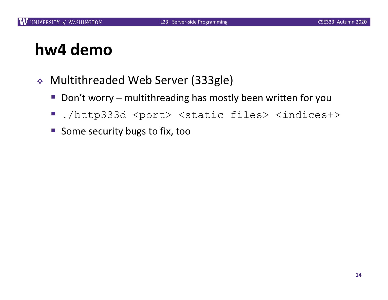#### **hw4 demo**

- <sup>v</sup> Multithreaded Web Server (333gle)
	- Don't worry multithreading has mostly been written for you
	- ./http333d <port> <static files> <indices+>
	- Some security bugs to fix, too